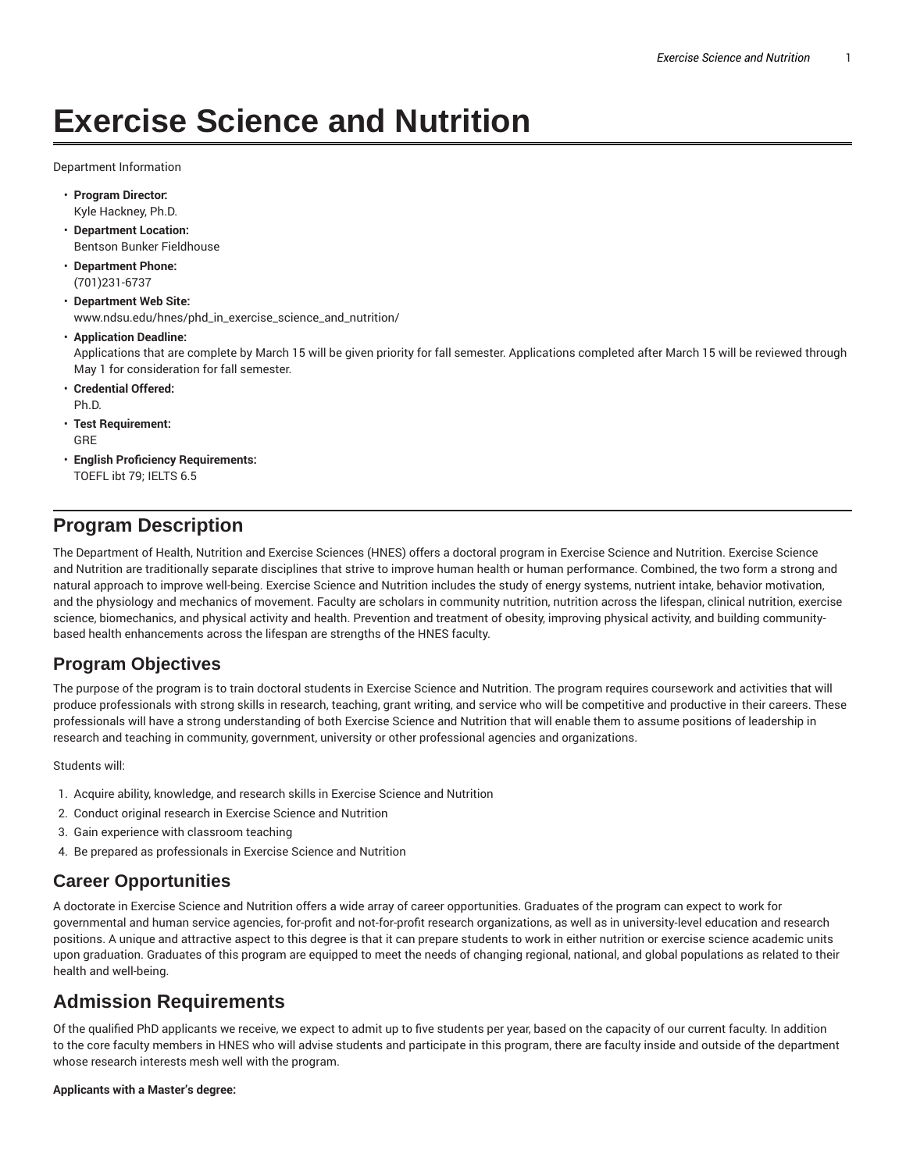# **Exercise Science and Nutrition**

Department Information

- **Program Director:** Kyle Hackney, Ph.D.
- **Department Location:** Bentson Bunker Fieldhouse
- **Department Phone:** (701)231-6737
- **Department Web Site:** www.ndsu.edu/hnes/phd\_in\_exercise\_science\_and\_nutrition/
- **Application Deadline:** Applications that are complete by March 15 will be given priority for fall semester. Applications completed after March 15 will be reviewed through May 1 for consideration for fall semester.
- **Credential Offered:** Ph.D.
- **Test Requirement:** GRE
- **English Proficiency Requirements:** TOEFL ibt 79; IELTS 6.5

# **Program Description**

The Department of Health, Nutrition and Exercise Sciences (HNES) offers a doctoral program in Exercise Science and Nutrition. Exercise Science and Nutrition are traditionally separate disciplines that strive to improve human health or human performance. Combined, the two form a strong and natural approach to improve well-being. Exercise Science and Nutrition includes the study of energy systems, nutrient intake, behavior motivation, and the physiology and mechanics of movement. Faculty are scholars in community nutrition, nutrition across the lifespan, clinical nutrition, exercise science, biomechanics, and physical activity and health. Prevention and treatment of obesity, improving physical activity, and building communitybased health enhancements across the lifespan are strengths of the HNES faculty.

## **Program Objectives**

The purpose of the program is to train doctoral students in Exercise Science and Nutrition. The program requires coursework and activities that will produce professionals with strong skills in research, teaching, grant writing, and service who will be competitive and productive in their careers. These professionals will have a strong understanding of both Exercise Science and Nutrition that will enable them to assume positions of leadership in research and teaching in community, government, university or other professional agencies and organizations.

Students will:

- 1. Acquire ability, knowledge, and research skills in Exercise Science and Nutrition
- 2. Conduct original research in Exercise Science and Nutrition
- 3. Gain experience with classroom teaching
- 4. Be prepared as professionals in Exercise Science and Nutrition

## **Career Opportunities**

A doctorate in Exercise Science and Nutrition offers a wide array of career opportunities. Graduates of the program can expect to work for governmental and human service agencies, for-profit and not-for-profit research organizations, as well as in university-level education and research positions. A unique and attractive aspect to this degree is that it can prepare students to work in either nutrition or exercise science academic units upon graduation. Graduates of this program are equipped to meet the needs of changing regional, national, and global populations as related to their health and well-being.

## **Admission Requirements**

Of the qualified PhD applicants we receive, we expect to admit up to five students per year, based on the capacity of our current faculty. In addition to the core faculty members in HNES who will advise students and participate in this program, there are faculty inside and outside of the department whose research interests mesh well with the program.

#### **Applicants with a Master's degree:**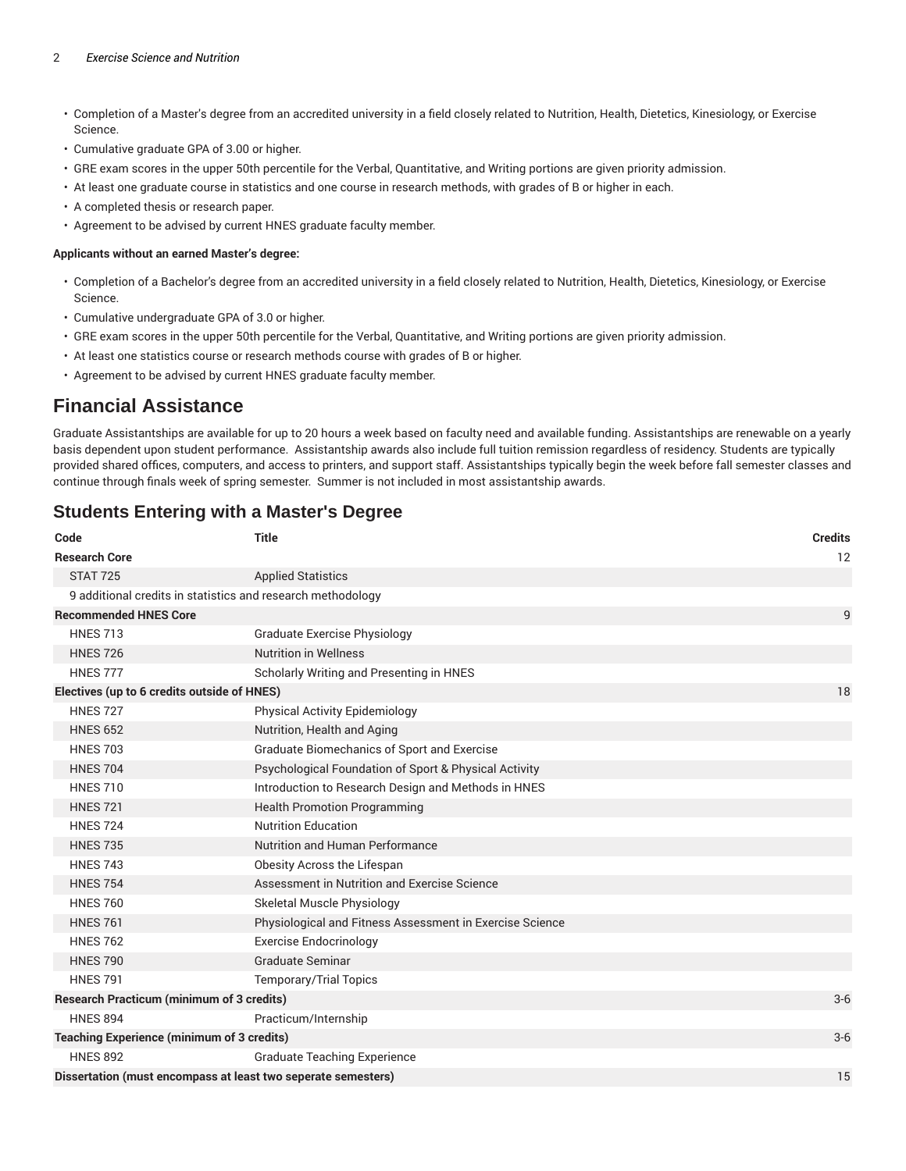#### 2 *Exercise Science and Nutrition*

- Completion of a Master's degree from an accredited university in a field closely related to Nutrition, Health, Dietetics, Kinesiology, or Exercise Science.
- Cumulative graduate GPA of 3.00 or higher.
- GRE exam scores in the upper 50th percentile for the Verbal, Quantitative, and Writing portions are given priority admission.
- At least one graduate course in statistics and one course in research methods, with grades of B or higher in each.
- A completed thesis or research paper.
- Agreement to be advised by current HNES graduate faculty member.

#### **Applicants without an earned Master's degree:**

- Completion of a Bachelor's degree from an accredited university in a field closely related to Nutrition, Health, Dietetics, Kinesiology, or Exercise Science.
- Cumulative undergraduate GPA of 3.0 or higher.
- GRE exam scores in the upper 50th percentile for the Verbal, Quantitative, and Writing portions are given priority admission.
- At least one statistics course or research methods course with grades of B or higher.
- Agreement to be advised by current HNES graduate faculty member.

## **Financial Assistance**

Graduate Assistantships are available for up to 20 hours a week based on faculty need and available funding. Assistantships are renewable on a yearly basis dependent upon student performance. Assistantship awards also include full tuition remission regardless of residency. Students are typically provided shared offices, computers, and access to printers, and support staff. Assistantships typically begin the week before fall semester classes and continue through finals week of spring semester. Summer is not included in most assistantship awards.

### **Code Title Credits Research Core** 12 STAT 725 Applied Statistics 9 additional credits in statistics and research methodology **Recommended HNES Core** 9 HNES 713 Graduate Exercise Physiology HNES 726 Nutrition in Wellness HNES 777 Scholarly Writing and Presenting in HNES **Electives (up to 6 credits outside of HNES)** 18 HNES 727 Physical Activity Epidemiology HNES 652 Nutrition, Health and Aging HNES 703 Graduate Biomechanics of Sport and Exercise HNES 704 Psychological Foundation of Sport & Physical Activity HNES 710 **Introduction to Research Design and Methods in HNES** HNES 721 Health Promotion Programming HNES 724 Nutrition Education HNES 735 Nutrition and Human Performance HNES 743 Obesity Across the Lifespan HNES 754 Assessment in Nutrition and Exercise Science HNES 760 Skeletal Muscle Physiology HNES 761 **Physiological and Fitness Assessment in Exercise Science** HNES 762 Exercise Endocrinology HNES 790 Graduate Seminar HNES 791 Temporary/Trial Topics **Research Practicum (minimum of 3 credits)** 3-6 HNES 894 Practicum/Internship **Teaching Experience (minimum of 3 credits)** 3-6 HNES 892 Graduate Teaching Experience **Dissertation (must encompass at least two seperate semesters)** 15

## **Students Entering with a Master's Degree**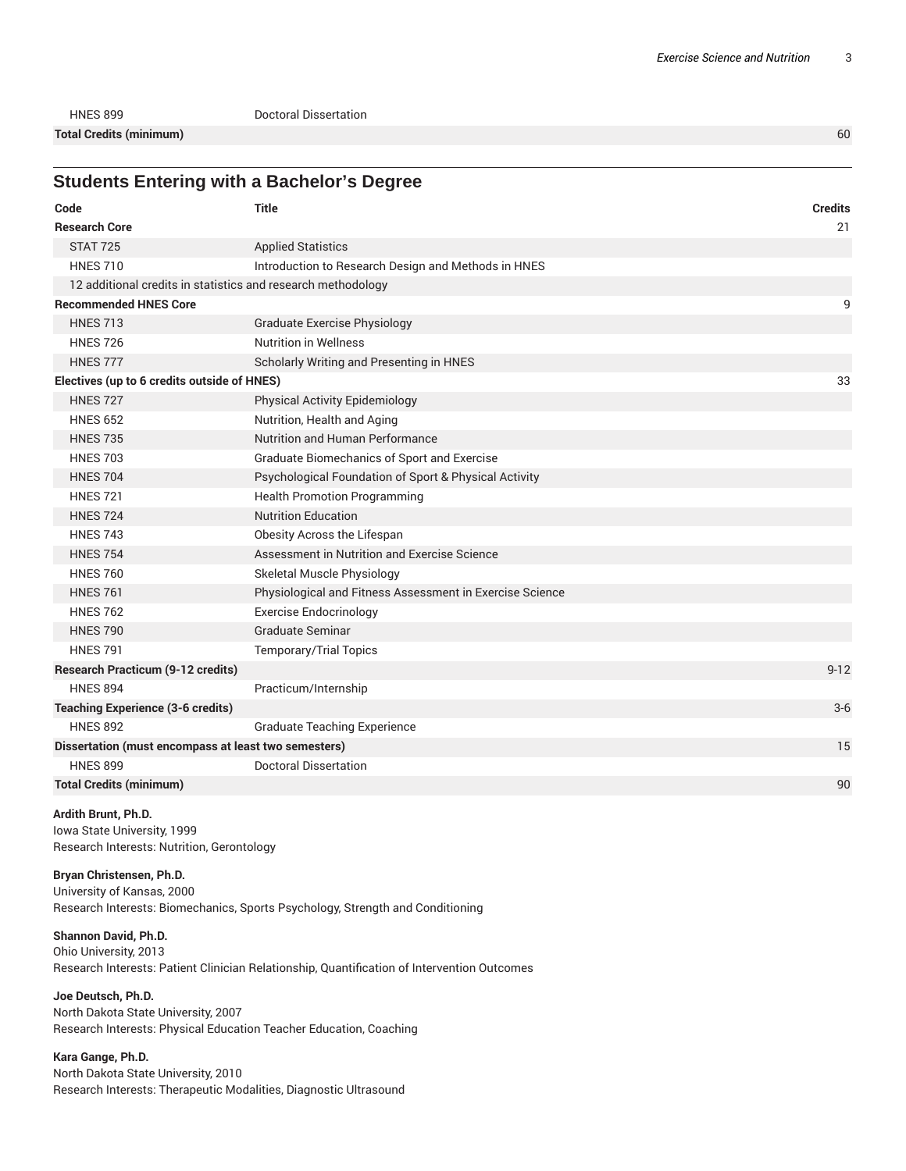HNES 899 Doctoral Dissertation **Total Credits (minimum)** 60

**Students Entering with a Bachelor's Degree** 

| Code                                                         | <b>Title</b>                                             | <b>Credits</b> |
|--------------------------------------------------------------|----------------------------------------------------------|----------------|
| <b>Research Core</b>                                         |                                                          | 21             |
| <b>STAT 725</b>                                              | <b>Applied Statistics</b>                                |                |
| <b>HNES 710</b>                                              | Introduction to Research Design and Methods in HNES      |                |
| 12 additional credits in statistics and research methodology |                                                          |                |
| <b>Recommended HNES Core</b>                                 |                                                          | 9              |
| <b>HNES 713</b>                                              | <b>Graduate Exercise Physiology</b>                      |                |
| <b>HNES 726</b>                                              | <b>Nutrition in Wellness</b>                             |                |
| <b>HNES 777</b>                                              | Scholarly Writing and Presenting in HNES                 |                |
| Electives (up to 6 credits outside of HNES)                  |                                                          | 33             |
| <b>HNES 727</b>                                              | <b>Physical Activity Epidemiology</b>                    |                |
| <b>HNES 652</b>                                              | Nutrition, Health and Aging                              |                |
| <b>HNES 735</b>                                              | Nutrition and Human Performance                          |                |
| <b>HNES 703</b>                                              | <b>Graduate Biomechanics of Sport and Exercise</b>       |                |
| <b>HNES 704</b>                                              | Psychological Foundation of Sport & Physical Activity    |                |
| <b>HNES 721</b>                                              | <b>Health Promotion Programming</b>                      |                |
| <b>HNES 724</b>                                              | <b>Nutrition Education</b>                               |                |
| <b>HNES 743</b>                                              | Obesity Across the Lifespan                              |                |
| <b>HNES 754</b>                                              | Assessment in Nutrition and Exercise Science             |                |
| <b>HNES 760</b>                                              | Skeletal Muscle Physiology                               |                |
| <b>HNES 761</b>                                              | Physiological and Fitness Assessment in Exercise Science |                |
| <b>HNES 762</b>                                              | <b>Exercise Endocrinology</b>                            |                |
| <b>HNES 790</b>                                              | <b>Graduate Seminar</b>                                  |                |
| <b>HNES 791</b>                                              | <b>Temporary/Trial Topics</b>                            |                |
| <b>Research Practicum (9-12 credits)</b>                     |                                                          | $9 - 12$       |
| <b>HNES 894</b>                                              | Practicum/Internship                                     |                |
| <b>Teaching Experience (3-6 credits)</b>                     |                                                          | $3-6$          |
| <b>HNES 892</b>                                              | <b>Graduate Teaching Experience</b>                      |                |
| Dissertation (must encompass at least two semesters)         |                                                          | 15             |
| <b>HNES 899</b>                                              | <b>Doctoral Dissertation</b>                             |                |
| <b>Total Credits (minimum)</b>                               |                                                          | 90             |

#### **Ardith Brunt, Ph.D.**

Iowa State University, 1999 Research Interests: Nutrition, Gerontology

#### **Bryan Christensen, Ph.D.**

University of Kansas, 2000 Research Interests: Biomechanics, Sports Psychology, Strength and Conditioning

#### **Shannon David, Ph.D.**

Ohio University, 2013 Research Interests: Patient Clinician Relationship, Quantification of Intervention Outcomes

**Joe Deutsch, Ph.D.** North Dakota State University, 2007 Research Interests: Physical Education Teacher Education, Coaching

**Kara Gange, Ph.D.** North Dakota State University, 2010 Research Interests: Therapeutic Modalities, Diagnostic Ultrasound